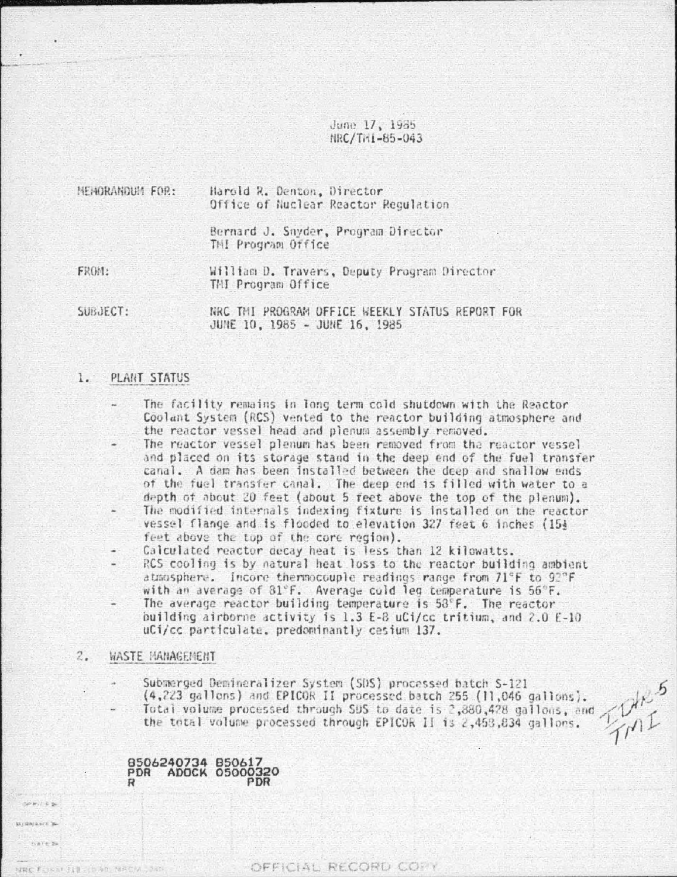June 17, 1985 NRC/TRI-85-043

| NEMORANDUM FOR: | Harold R. Denton, Director<br>Office of Nuclear Reactor Regulation |  |  |  |  |
|-----------------|--------------------------------------------------------------------|--|--|--|--|
|                 | Bernard J. Snyder, Program Director<br>THI Program Office          |  |  |  |  |
| FROM:           | William D. Travers, Deputy Program Director<br>THI Program Office  |  |  |  |  |
| SUBJECT:        | NRC THI PROGRAM OFFICE WEEKLY STATUS REPORT FOR                    |  |  |  |  |

JUNE 10, 1985 - JUNE 16, 1985

#### 1. PLANT STATUS

- The facility remains in long term cold shutdown with the Reactor Coolant System (RCS) vented to the reactor building atmosphere and the reactor vessel head and plenum assembly removed.
- The reactor vessel plenum has been removed from the reactor vessel and placed on its storage stand in the deep end of the fuel transfer canal. A dam has been installed between the deep and shallow ends of the fuel transfer canal. The deep end is filled with water to a depth of about 20 feet (about 5 feet above the top of the plenum).
- The modified internals indexing fixture is installed on the reactor vessel flange and is flooded to elevation 327 feet 6 inches (15) feet above the top of the core region).
- Calculated reactor decay heat is less than 12 kilowatts.
- RCS cooling is by natural heat loss to the reactor building ambient atmosphere. Incore thermocouple readings range from 71°F to 92°F with an average of 31°F. Average cold led temperature is 56°F.
- The average reactor building temperature is 58°F. The reactor building airborne activity is 1.3 E-8 uCi/cc tritium, and 2.0 E-10 uCi/cc particulate. predominantly cesium 137.
- $2.$ WASTE MANAGEMENT

Submerged Demineralizer System (SDS) processed batch S-121 (4,223 gallons) and EPICOR II processed batch 255 (11,046 gallons). Total volume processed through SDS to date is 2,880,428 gallons, and the total volume processed through EPICOR II is 2,453,834 gallons.

8506240734 850617<br>PDR ADOCK 05000320 PDR

MRC FORAL FIRE AD NACH

delayer to LaYers.

OFFICIAL RECORD CORY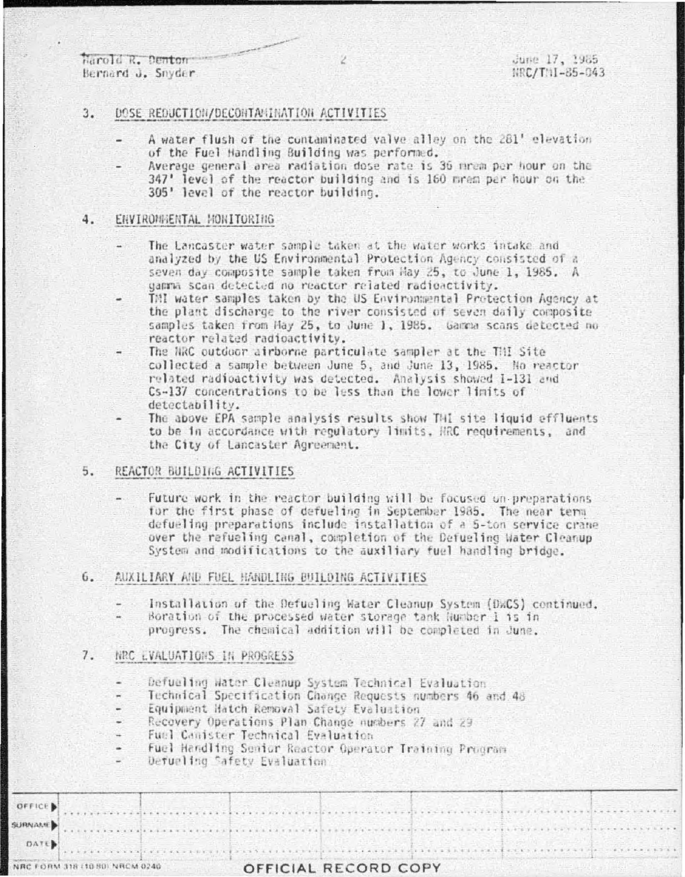Harold R. Denton Bernard J. Snyder.

June 17, 1985 NRC/TNI-85-043

## $3.$ DOSE REDUCTION/DECONTANINATION ACTIVITIES

- A water flush of the contaminated valve alley on the 281' elevation of the Fuel Handling Building was performed.
- Average general area radiation dose rate is 36 mrem per hour on the 347' level of the reactor building and is 160 mrem per hour on the 305' level of the reactor building.

### ENVIRONNENTAL MONITORING 4.

- The Lancaster water sample taken at the water works intake and analyzed by the US Environmental Protection Agency consisted of a seven day composite sample taken from May 25, to June 1, 1985. A gamma scan detected no reactor related radioactivity.
- TMI water samples taken by the US Environmental Protection Agency at the plant discharge to the river consisted of seven daily composite samples taken from Hay 25, to June 1, 1985. Gamma scans detected no reactor related radioactivity.
- The NRC outdoor airborne particulate sampler at the TMI Site collected a sample between June 5, and June 13, 1985. No reactor related radioactivity was detected. Analysis showed I-131 and Cs-137 concentrations to be less than the lower limits of detectability.
- The above EPA sample analysis results show THI site liquid effluents to be in accordance with regulatory limits. HRC requirements, and the City of Lancaster Agreement.

# REACTOR BUILDING ACTIVITIES 5.

Future work in the reactor building will be focused on preparations for the first phase of defueling in September 1985. The near term defueling preparations include installation of a 5-ton service crane over the refueling canal, completion of the Befueling Water Cleanup System and modifications to the auxiliary fuel handling bridge.

## AUXILIARY AND FUEL HANDLING BUILDING ACTIVITIES  $6.$

- Installation of the Defueling Water Cleanup System (DWCS) continued.
- Boration of the processed water storage tank Number 1 is in progress. The chemical addition will be completed in June.

### 7. NRC LVALUATIONS IN PROGRESS

- Defueling Water Cleanup System Technical Evaluation
- Technical Specification Change Requests numbers 46 and 48  $\blacksquare$
- Equipment Hatch Removal Safety Evaluation
- Recovery Operations Plan Change numbers 27 and 29
- Fuel Canister Technical Evaluation
- Fuel Handling Senior Reactor Operator Training Program
- Defueling Safety Evaluation:

| OFFICE                         |                      |
|--------------------------------|----------------------|
| <b>URNAME</b>                  |                      |
| DATE                           |                      |
| VRC FORM 318 (10 80) NRCM 0240 | OFFICIAL RECORD COPY |

Z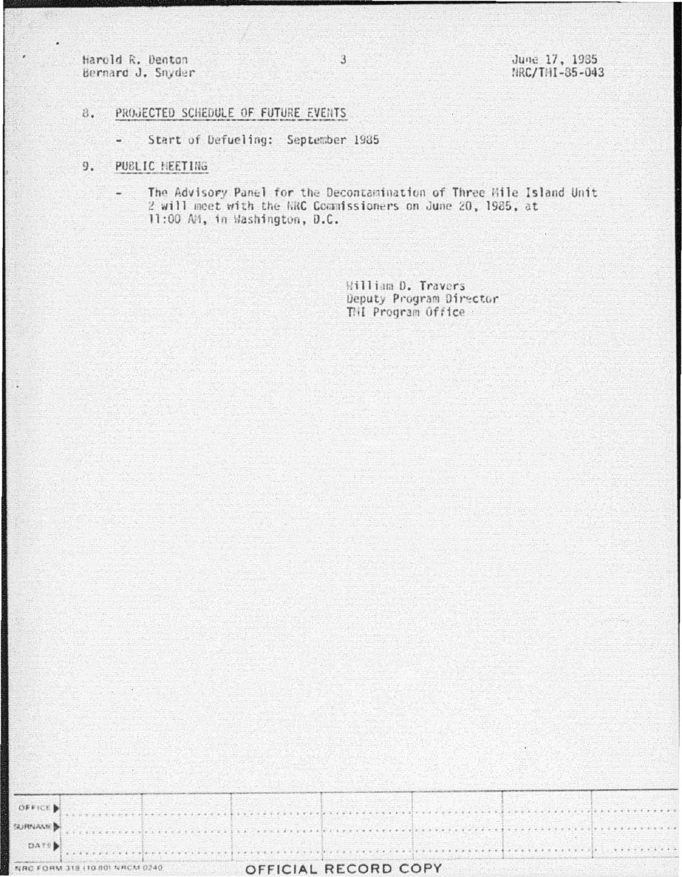Harold R. Denton Bernard J. Snyder June 17, 1985<br>NRC/THI-85-043

- PROJECTED SCHEDULE OF FUTURE EVENTS 8.
	- Start of Defueling: September 1985  $\frac{1}{\sqrt{2}}$
- 9. PUBLIC HEETING
	- The Advisory Panel for the Decontamination of Three Mile Island Unit  $\overline{\phantom{a}}$ 2 will meet with the NRC Commissioners on June 20, 1985, at 11:00 AM, in Washington, D.C.

William D. Travers Deputy Program Director THI Program Office

| 计程序语言 化分析系统 | <b>318 (10.80) NRCM 0240</b> |  | OFFICIAL RECORD COPY |  |  |  |  |
|-------------|------------------------------|--|----------------------|--|--|--|--|
| DATE        |                              |  |                      |  |  |  |  |
|             |                              |  |                      |  |  |  |  |
| SURNAMED    |                              |  |                      |  |  |  |  |
| OFFICE D    |                              |  |                      |  |  |  |  |
|             |                              |  |                      |  |  |  |  |